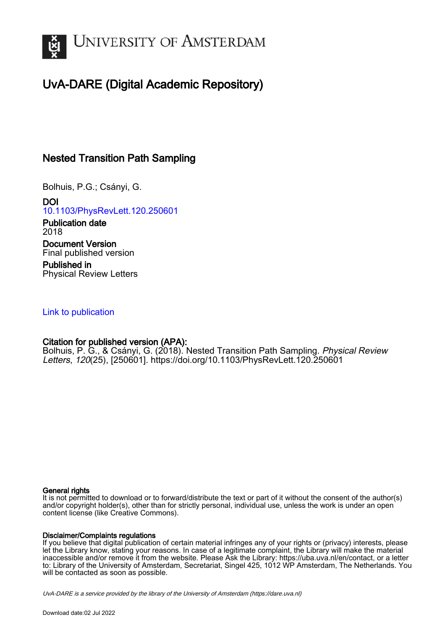

# UvA-DARE (Digital Academic Repository)

## Nested Transition Path Sampling

Bolhuis, P.G.; Csányi, G.

DOI [10.1103/PhysRevLett.120.250601](https://doi.org/10.1103/PhysRevLett.120.250601)

Publication date 2018 Document Version Final published version

Published in Physical Review Letters

## [Link to publication](https://dare.uva.nl/personal/pure/en/publications/nested-transition-path-sampling(7662c2db-3ee4-4f91-a217-1ba93fc4cf2f).html)

## Citation for published version (APA):

Bolhuis, P. G., & Csányi, G. (2018). Nested Transition Path Sampling. Physical Review Letters, 120(25), [250601]. <https://doi.org/10.1103/PhysRevLett.120.250601>

#### General rights

It is not permitted to download or to forward/distribute the text or part of it without the consent of the author(s) and/or copyright holder(s), other than for strictly personal, individual use, unless the work is under an open content license (like Creative Commons).

#### Disclaimer/Complaints regulations

If you believe that digital publication of certain material infringes any of your rights or (privacy) interests, please let the Library know, stating your reasons. In case of a legitimate complaint, the Library will make the material inaccessible and/or remove it from the website. Please Ask the Library: https://uba.uva.nl/en/contact, or a letter to: Library of the University of Amsterdam, Secretariat, Singel 425, 1012 WP Amsterdam, The Netherlands. You will be contacted as soon as possible.

UvA-DARE is a service provided by the library of the University of Amsterdam (http*s*://dare.uva.nl)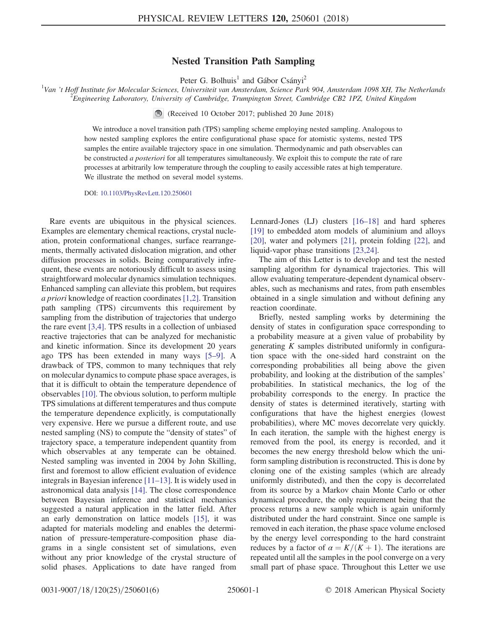### Nested Transition Path Sampling

Peter G. Bolhuis<sup>1</sup> and Gábor Csányi<sup>2</sup>

<sup>1</sup>Van 't Hoff Institute for Molecular Sciences, Universiteit van Amsterdam, Science Park 904, Amsterdam 1098 XH, The Netherlands<br><sup>2</sup> Engineering Laboratory, University of Cambridge, Trumpington Street, Cambridge CP2, 197,  ${}^{2}$ Engineering Laboratory, University of Cambridge, Trumpington Street, Cambridge CB2 1PZ, United Kingdom

(Received 10 October 2017; published 20 June 2018)

We introduce a novel transition path (TPS) sampling scheme employing nested sampling. Analogous to how nested sampling explores the entire configurational phase space for atomistic systems, nested TPS samples the entire available trajectory space in one simulation. Thermodynamic and path observables can be constructed a posteriori for all temperatures simultaneously. We exploit this to compute the rate of rare processes at arbitrarily low temperature through the coupling to easily accessible rates at high temperature. We illustrate the method on several model systems.

DOI: [10.1103/PhysRevLett.120.250601](https://doi.org/10.1103/PhysRevLett.120.250601)

Rare events are ubiquitous in the physical sciences. Examples are elementary chemical reactions, crystal nucleation, protein conformational changes, surface rearrangements, thermally activated dislocation migration, and other diffusion processes in solids. Being comparatively infrequent, these events are notoriously difficult to assess using straightforward molecular dynamics simulation techniques. Enhanced sampling can alleviate this problem, but requires a priori knowledge of reaction coordinates [\[1,2\].](#page-5-0) Transition path sampling (TPS) circumvents this requirement by sampling from the distribution of trajectories that undergo the rare event [\[3,4\]](#page-5-1). TPS results in a collection of unbiased reactive trajectories that can be analyzed for mechanistic and kinetic information. Since its development 20 years ago TPS has been extended in many ways [5–[9\].](#page-5-2) A drawback of TPS, common to many techniques that rely on molecular dynamics to compute phase space averages, is that it is difficult to obtain the temperature dependence of observables [\[10\]](#page-5-3). The obvious solution, to perform multiple TPS simulations at different temperatures and thus compute the temperature dependence explicitly, is computationally very expensive. Here we pursue a different route, and use nested sampling (NS) to compute the "density of states" of trajectory space, a temperature independent quantity from which observables at any temperate can be obtained. Nested sampling was invented in 2004 by John Skilling, first and foremost to allow efficient evaluation of evidence integrals in Bayesian inference [\[11](#page-5-4)–13]. It is widely used in astronomical data analysis [\[14\].](#page-5-5) The close correspondence between Bayesian inference and statistical mechanics suggested a natural application in the latter field. After an early demonstration on lattice models [\[15\],](#page-5-6) it was adapted for materials modeling and enables the determination of pressure-temperature-composition phase diagrams in a single consistent set of simulations, even without any prior knowledge of the crystal structure of solid phases. Applications to date have ranged from

Lennard-Jones (LJ) clusters [16–[18\]](#page-5-7) and hard spheres [\[19\]](#page-5-8) to embedded atom models of aluminium and alloys [\[20\]](#page-5-9), water and polymers [\[21\],](#page-5-10) protein folding [\[22\]](#page-5-11), and liquid-vapor phase transitions [\[23,24\]](#page-5-12).

The aim of this Letter is to develop and test the nested sampling algorithm for dynamical trajectories. This will allow evaluating temperature-dependent dynamical observables, such as mechanisms and rates, from path ensembles obtained in a single simulation and without defining any reaction coordinate.

Briefly, nested sampling works by determining the density of states in configuration space corresponding to a probability measure at a given value of probability by generating  $K$  samples distributed uniformly in configuration space with the one-sided hard constraint on the corresponding probabilities all being above the given probability, and looking at the distribution of the samples' probabilities. In statistical mechanics, the log of the probability corresponds to the energy. In practice the density of states is determined iteratively, starting with configurations that have the highest energies (lowest probabilities), where MC moves decorrelate very quickly. In each iteration, the sample with the highest energy is removed from the pool, its energy is recorded, and it becomes the new energy threshold below which the uniform sampling distribution is reconstructed. This is done by cloning one of the existing samples (which are already uniformly distributed), and then the copy is decorrelated from its source by a Markov chain Monte Carlo or other dynamical procedure, the only requirement being that the process returns a new sample which is again uniformly distributed under the hard constraint. Since one sample is removed in each iteration, the phase space volume enclosed by the energy level corresponding to the hard constraint reduces by a factor of  $\alpha = K/(K+1)$ . The iterations are repeated until all the samples in the pool converge on a very small part of phase space. Throughout this Letter we use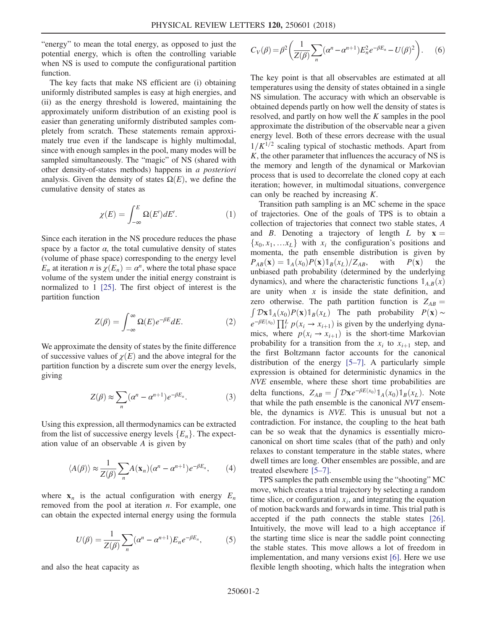"energy" to mean the total energy, as opposed to just the potential energy, which is often the controlling variable when NS is used to compute the configurational partition function.

The key facts that make NS efficient are (i) obtaining uniformly distributed samples is easy at high energies, and (ii) as the energy threshold is lowered, maintaining the approximately uniform distribution of an existing pool is easier than generating uniformly distributed samples completely from scratch. These statements remain approximately true even if the landscape is highly multimodal, since with enough samples in the pool, many modes will be sampled simultaneously. The "magic" of NS (shared with other density-of-states methods) happens in a posteriori analysis. Given the density of states  $\Omega(E)$ , we define the cumulative density of states as

$$
\chi(E) = \int_{-\infty}^{E} \Omega(E') dE'. \tag{1}
$$

Since each iteration in the NS procedure reduces the phase space by a factor  $\alpha$ , the total cumulative density of states (volume of phase space) corresponding to the energy level  $E_n$  at iteration *n* is  $\chi(E_n) = \alpha^n$ , where the total phase space volume of the system under the initial energy constraint is normalized to 1 [\[25\].](#page-5-13) The first object of interest is the partition function

$$
Z(\beta) = \int_{-\infty}^{\infty} \Omega(E) e^{-\beta E} dE.
$$
 (2)

We approximate the density of states by the finite difference of successive values of  $\chi(E)$  and the above integral for the partition function by a discrete sum over the energy levels, giving

$$
Z(\beta) \approx \sum_{n} (\alpha^n - \alpha^{n+1}) e^{-\beta E_n}.
$$
 (3)

Using this expression, all thermodynamics can be extracted from the list of successive energy levels  ${E_n}$ . The expectation value of an observable A is given by

$$
\langle A(\beta) \rangle \approx \frac{1}{Z(\beta)} \sum_{n} A(\mathbf{x}_{n}) (\alpha^{n} - \alpha^{n+1}) e^{-\beta E_{n}}, \qquad (4)
$$

<span id="page-2-0"></span>where  $x_n$  is the actual configuration with energy  $E_n$ removed from the pool at iteration  $n$ . For example, one can obtain the expected internal energy using the formula

$$
U(\beta) = \frac{1}{Z(\beta)} \sum_{n} (\alpha^n - \alpha^{n+1}) E_n e^{-\beta E_n}, \qquad (5)
$$

and also the heat capacity as

$$
C_V(\beta) = \beta^2 \left( \frac{1}{Z(\beta)} \sum_n (\alpha^n - \alpha^{n+1}) E_n^2 e^{-\beta E_n} - U(\beta)^2 \right).
$$
 (6)

The key point is that all observables are estimated at all temperatures using the density of states obtained in a single NS simulation. The accuracy with which an observable is obtained depends partly on how well the density of states is resolved, and partly on how well the K samples in the pool approximate the distribution of the observable near a given energy level. Both of these errors decrease with the usual  $1/K^{1/2}$  scaling typical of stochastic methods. Apart from  $K$ , the other parameter that influences the accuracy of NS is the memory and length of the dynamical or Markovian process that is used to decorrelate the cloned copy at each iteration; however, in multimodal situations, convergence can only be reached by increasing K.

Transition path sampling is an MC scheme in the space of trajectories. One of the goals of TPS is to obtain a collection of trajectories that connect two stable states, A and B. Denoting a trajectory of length L by  $x =$  $\{x_0, x_1, \ldots x_L\}$  with  $x_i$  the configuration's positions and momenta, the path ensemble distribution is given by  $P_{AB}(\mathbf{x}) = \mathbb{1}_A(x_0)P(\mathbf{x})\mathbb{1}_B(x_L)/Z_{AB}$ , with  $P(\mathbf{x})$  the unbiased path probability (determined by the underlying dynamics), and where the characteristic functions  $\mathbb{1}_{A,B}(x)$ are unity when  $x$  is inside the state definition, and zero otherwise. The path partition function is  $Z_{AB} =$  $\int \mathcal{D} \mathbf{x} \mathbb{1}_A(x_0) P(\mathbf{x}) \mathbb{1}_B(x_L)$  The path probability  $P(\mathbf{x}) \sim$  $e^{-\beta E(x_0)} \prod_i^L p(x_i \to x_{i+1})$  is given by the underlying dyna-<br>mics where  $p(x_i \to x_{i+1})$  is the short-time Markovian mics, where  $p(x_i \rightarrow x_{i+1})$  is the short-time Markovian probability for a transition from the  $x_i$  to  $x_{i+1}$  step, and the first Boltzmann factor accounts for the canonical distribution of the energy [5–[7\].](#page-5-2) A particularly simple expression is obtained for deterministic dynamics in the NVE ensemble, where these short time probabilities are delta functions,  $Z_{AB} = \int \mathcal{D}x e^{-\beta E(x_0)} \mathbb{1}_A(x_0) \mathbb{1}_B(x_L)$ . Note that while the path ensemble is the canonical NVT ensemble, the dynamics is NVE. This is unusual but not a contradiction. For instance, the coupling to the heat bath can be so weak that the dynamics is essentially microcanonical on short time scales (that of the path) and only relaxes to constant temperature in the stable states, where dwell times are long. Other ensembles are possible, and are treated elsewhere [5–[7\]](#page-5-2).

TPS samples the path ensemble using the "shooting" MC move, which creates a trial trajectory by selecting a random time slice, or configuration  $x_i$ , and integrating the equation of motion backwards and forwards in time. This trial path is accepted if the path connects the stable states [\[26\]](#page-5-14). Intuitively, the move will lead to a high acceptance if the starting time slice is near the saddle point connecting the stable states. This move allows a lot of freedom in implementation, and many versions exist [\[6\]](#page-5-15). Here we use flexible length shooting, which halts the integration when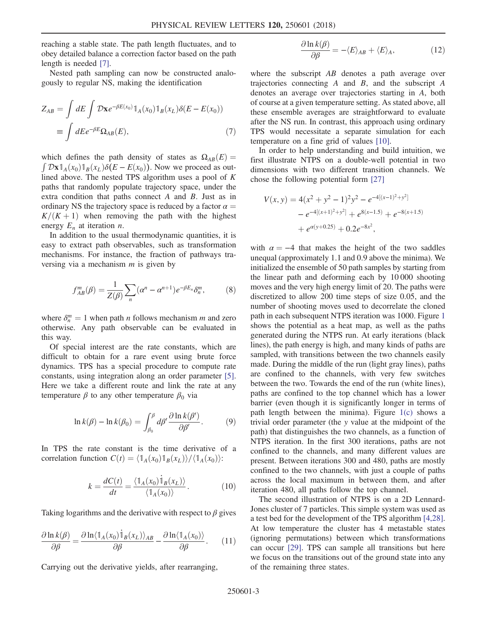reaching a stable state. The path length fluctuates, and to obey detailed balance a correction factor based on the path length is needed [\[7\]](#page-5-16).

Nested path sampling can now be constructed analogously to regular NS, making the identification

$$
Z_{AB} = \int dE \int \mathcal{D}x e^{-\beta E(x_0)} \mathbb{1}_A(x_0) \mathbb{1}_B(x_L) \delta(E - E(x_0))
$$
  
= 
$$
\int dE e^{-\beta E} \Omega_{AB}(E),
$$
 (7)

which defines the path density of states as  $\Omega_{AB}(E) =$  $\int \mathcal{D} \mathbf{x} \mathbb{1}_A(x_0) \mathbb{1}_B(x_L) \delta(E - E(x_0))$ . Now we proceed as out-<br>lined above. The nested TPS algorithm uses a nool of K lined above. The nested TPS algorithm uses a pool of  $K$ paths that randomly populate trajectory space, under the extra condition that paths connect  $A$  and  $B$ . Just as in ordinary NS the trajectory space is reduced by a factor  $\alpha =$  $K/(K+1)$  when removing the path with the highest energy  $E_n$  at iteration *n*.

In addition to the usual thermodynamic quantities, it is easy to extract path observables, such as transformation mechanisms. For instance, the fraction of pathways traversing via a mechanism  $m$  is given by

$$
f_{AB}^m(\beta) = \frac{1}{Z(\beta)} \sum_n (\alpha^n - \alpha^{n+1}) e^{-\beta E_n} \delta_n^m, \tag{8}
$$

where  $\delta_n^m = 1$  when path *n* follows mechanism *m* and zero otherwise. Any path observable can be evaluated in otherwise. Any path observable can be evaluated in this way.

Of special interest are the rate constants, which are difficult to obtain for a rare event using brute force dynamics. TPS has a special procedure to compute rate constants, using integration along an order parameter [\[5\]](#page-5-2). Here we take a different route and link the rate at any temperature  $\beta$  to any other temperature  $\beta_0$  via

$$
\ln k(\beta) - \ln k(\beta_0) = \int_{\beta_0}^{\beta} d\beta' \frac{\partial \ln k(\beta')}{\partial \beta'}.
$$
 (9)

In TPS the rate constant is the time derivative of a correlation function  $C(t) = \langle \mathbb{1}_A(x_0) \mathbb{1}_B(x_L) \rangle / \langle \mathbb{1}_A(x_0) \rangle$ :

$$
k = \frac{dC(t)}{dt} = \frac{\langle \mathbb{1}_A(x_0) \dot{\mathbb{1}}_B(x_L) \rangle}{\langle \mathbb{1}_A(x_0) \rangle}.
$$
 (10)

Taking logarithms and the derivative with respect to  $\beta$  gives

<span id="page-3-0"></span>
$$
\frac{\partial \ln k(\beta)}{\partial \beta} = \frac{\partial \ln \langle \mathbb{1}_A(x_0) \dot{\mathbb{1}}_B(x_L) \rangle_{AB}}{\partial \beta} - \frac{\partial \ln \langle \mathbb{1}_A(x_0) \rangle}{\partial \beta}.
$$
 (11)

Carrying out the derivative yields, after rearranging,

$$
\frac{\partial \ln k(\beta)}{\partial \beta} = -\langle E \rangle_{AB} + \langle E \rangle_A, \tag{12}
$$

where the subscript AB denotes a path average over trajectories connecting  $A$  and  $B$ , and the subscript  $A$ denotes an average over trajectories starting in A, both of course at a given temperature setting. As stated above, all these ensemble averages are straightforward to evaluate after the NS run. In contrast, this approach using ordinary TPS would necessitate a separate simulation for each temperature on a fine grid of values [\[10\].](#page-5-3)

In order to help understanding and build intuition, we first illustrate NTPS on a double-well potential in two dimensions with two different transition channels. We chose the following potential form [\[27\]](#page-5-17)

$$
V(x, y) = 4(x2 + y2 - 1)2y2 - e-4[(x-1)2+y2]
$$
  
- e<sup>-4[(x+1)<sup>2</sup>+y<sup>2</sup>] + e<sup>8(x-1.5)</sup> + e<sup>-8(x+1.5)</sup>  
+ e<sup>α(y+0.25)</sup> + 0.2e<sup>-8x<sup>2</sup></sup>,</sup>

with  $\alpha = -4$  that makes the height of the two saddles unequal (approximately 1.1 and 0.9 above the minima). We initialized the ensemble of 50 path samples by starting from the linear path and deforming each by 10 000 shooting moves and the very high energy limit of 20. The paths were discretized to allow 200 time steps of size 0.05, and the number of shooting moves used to decorrelate the cloned path in each subsequent NTPS iteration was 1000. Figure [1](#page-4-0) shows the potential as a heat map, as well as the paths generated during the NTPS run. At early iterations (black lines), the path energy is high, and many kinds of paths are sampled, with transitions between the two channels easily made. During the middle of the run (light gray lines), paths are confined to the channels, with very few switches between the two. Towards the end of the run (white lines), paths are confined to the top channel which has a lower barrier (even though it is significantly longer in terms of path length between the minima). Figure [1\(c\)](#page-4-0) shows a trivial order parameter (the y value at the midpoint of the path) that distinguishes the two channels, as a function of NTPS iteration. In the first 300 iterations, paths are not confined to the channels, and many different values are present. Between iterations 300 and 480, paths are mostly confined to the two channels, with just a couple of paths across the local maximum in between them, and after iteration 480, all paths follow the top channel.

The second illustration of NTPS is on a 2D Lennard-Jones cluster of 7 particles. This simple system was used as a test bed for the development of the TPS algorithm [\[4,28\]](#page-5-18). At low temperature the cluster has 4 metastable states (ignoring permutations) between which transformations can occur [\[29\].](#page-5-19) TPS can sample all transitions but here we focus on the transitions out of the ground state into any of the remaining three states.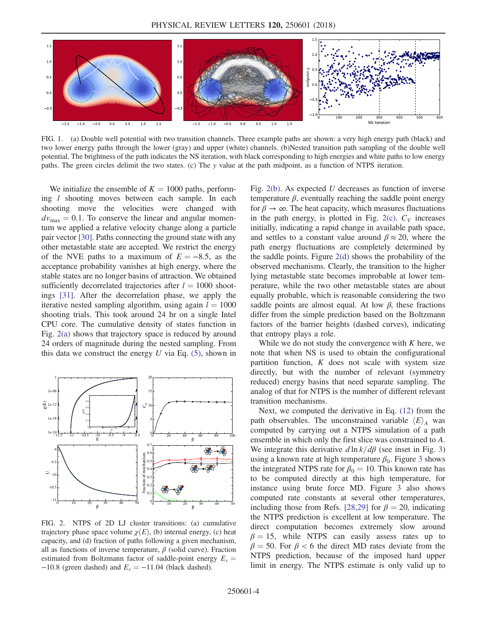<span id="page-4-0"></span>

FIG. 1. (a) Double well potential with two transition channels. Three example paths are shown: a very high energy path (black) and two lower energy paths through the lower (gray) and upper (white) channels. (b)Nested transition path sampling of the double well potential. The brightness of the path indicates the NS iteration, with black corresponding to high energies and white paths to low energy paths. The green circles delimit the two states. (c) The y value at the path midpoint, as a function of NTPS iteration.

We initialize the ensemble of  $K = 1000$  paths, performing l shooting moves between each sample. In each shooting move the velocities were changed with  $dv_{\text{max}} = 0.1$ . To conserve the linear and angular momentum we applied a relative velocity change along a particle pair vector [\[30\].](#page-5-20) Paths connecting the ground state with any other metastable state are accepted. We restrict the energy of the NVE paths to a maximum of  $E = -8.5$ , as the acceptance probability vanishes at high energy, where the stable states are no longer basins of attraction. We obtained sufficiently decorrelated trajectories after  $l = 1000$  shootings [\[31\]](#page-5-21). After the decorrelation phase, we apply the iterative nested sampling algorithm, using again  $l = 1000$ shooting trials. This took around 24 hr on a single Intel CPU core. The cumulative density of states function in Fig. [2\(a\)](#page-4-1) shows that trajectory space is reduced by around 24 orders of magnitude during the nested sampling. From this data we construct the energy  $U$  via Eq. [\(5\),](#page-2-0) shown in

<span id="page-4-1"></span>

FIG. 2. NTPS of 2D LJ cluster transitions: (a) cumulative trajectory phase space volume  $\chi(E)$ , (b) internal energy, (c) heat capacity, and (d) fraction of paths following a given mechanism, all as functions of inverse temperature,  $\beta$  (solid curve). Fraction estimated from Boltzmann factor of saddle-point energy  $E_s =$  $-10.8$  (green dashed) and  $E_s = -11.04$  (black dashed).

Fig.  $2(b)$ . As expected U decreases as function of inverse temperature  $\beta$ , eventually reaching the saddle point energy for  $\beta \to \infty$ . The heat capacity, which measures fluctuations in the path energy, is plotted in Fig. [2\(c\)](#page-4-1).  $C_V$  increases initially, indicating a rapid change in available path space, and settles to a constant value around  $\beta \approx 20$ , where the path energy fluctuations are completely determined by the saddle points. Figure [2\(d\)](#page-4-1) shows the probability of the observed mechanisms. Clearly, the transition to the higher lying metastable state becomes improbable at lower temperature, while the two other metastable states are about equally probable, which is reasonable considering the two saddle points are almost equal. At low  $\beta$ , these fractions differ from the simple prediction based on the Boltzmann factors of the barrier heights (dashed curves), indicating that entropy plays a role.

While we do not study the convergence with  $K$  here, we note that when NS is used to obtain the configurational partition function,  $K$  does not scale with system size directly, but with the number of relevant (symmetry reduced) energy basins that need separate sampling. The analog of that for NTPS is the number of different relevant transition mechanisms.

Next, we computed the derivative in Eq. [\(12\)](#page-3-0) from the path observables. The unconstrained variable  $\langle E \rangle_A$  was computed by carrying out a NTPS simulation of a path ensemble in which only the first slice was constrained to A. We integrate this derivative  $d \ln k/d\beta$  (see inset in Fig. [3\)](#page-5-22) using a known rate at high temperature  $\beta_0$ . Figure [3](#page-5-22) shows the integrated NTPS rate for  $\beta_0 = 10$ . This known rate has to be computed directly at this high temperature, for instance using brute force MD. Figure [3](#page-5-22) also shows computed rate constants at several other temperatures, including those from Refs. [\[28,29\]](#page-5-23) for  $\beta = 20$ , indicating the NTPS prediction is excellent at low temperature. The direct computation becomes extremely slow around  $\beta = 15$ , while NTPS can easily assess rates up to  $\beta = 50$ . For  $\beta < 6$  the direct MD rates deviate from the NTPS prediction, because of the imposed hard upper limit in energy. The NTPS estimate is only valid up to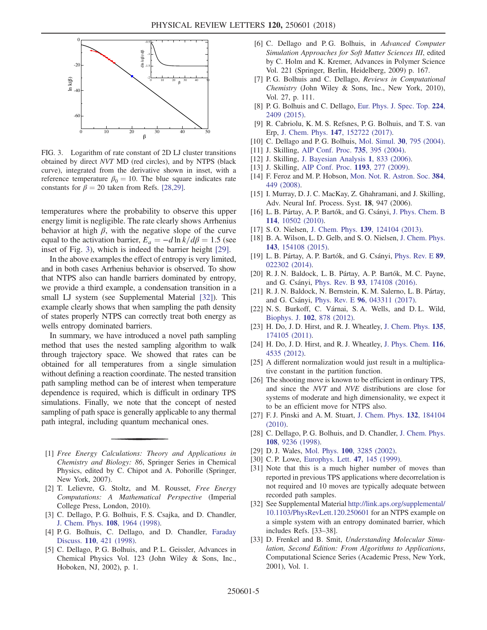<span id="page-5-22"></span>

FIG. 3. Logarithm of rate constant of 2D LJ cluster transitions obtained by direct NVT MD (red circles), and by NTPS (black curve), integrated from the derivative shown in inset, with a reference temperature  $\beta_0 = 10$ . The blue square indicates rate constants for  $\beta = 20$  taken from Refs. [\[28,29\].](#page-5-23)

temperatures where the probability to observe this upper energy limit is negligible. The rate clearly shows Arrhenius behavior at high  $\beta$ , with the negative slope of the curve equal to the activation barrier,  $E_a = -d \ln k/d\beta = 1.5$  (see inset of Fig. [3\)](#page-5-22), which is indeed the barrier height [\[29\].](#page-5-19)

In the above examples the effect of entropy is very limited, and in both cases Arrhenius behavior is observed. To show that NTPS also can handle barriers dominated by entropy, we provide a third example, a condensation transition in a small LJ system (see Supplemental Material [\[32\]\)](#page-5-24). This example clearly shows that when sampling the path density of states properly NTPS can correctly treat both energy as wells entropy dominated barriers.

In summary, we have introduced a novel path sampling method that uses the nested sampling algorithm to walk through trajectory space. We showed that rates can be obtained for all temperatures from a single simulation without defining a reaction coordinate. The nested transition path sampling method can be of interest when temperature dependence is required, which is difficult in ordinary TPS simulations. Finally, we note that the concept of nested sampling of path space is generally applicable to any thermal path integral, including quantum mechanical ones.

- <span id="page-5-0"></span>[1] Free Energy Calculations: Theory and Applications in Chemistry and Biology: 86, Springer Series in Chemical Physics, edited by C. Chipot and A. Pohorille (Springer, New York, 2007).
- [2] T. Lelievre, G. Stoltz, and M. Rousset, Free Energy Computations: A Mathematical Perspective (Imperial College Press, London, 2010).
- <span id="page-5-1"></span>[3] C. Dellago, P. G. Bolhuis, F. S. Csajka, and D. Chandler, [J. Chem. Phys.](https://doi.org/10.1063/1.475562) 108, 1964 (1998).
- <span id="page-5-18"></span>[4] P. G. Bolhuis, C. Dellago, and D. Chandler, [Faraday](https://doi.org/10.1039/a801266k) Discuss. 110[, 421 \(1998\)](https://doi.org/10.1039/a801266k).
- <span id="page-5-2"></span>[5] C. Dellago, P. G. Bolhuis, and P. L. Geissler, Advances in Chemical Physics Vol. 123 (John Wiley & Sons, Inc., Hoboken, NJ, 2002), p. 1.
- <span id="page-5-15"></span>[6] C. Dellago and P.G. Bolhuis, in Advanced Computer Simulation Approaches for Soft Matter Sciences III, edited by C. Holm and K. Kremer, Advances in Polymer Science Vol. 221 (Springer, Berlin, Heidelberg, 2009) p. 167.
- <span id="page-5-16"></span>[7] P. G. Bolhuis and C. Dellago, Reviews in Computational Chemistry (John Wiley & Sons, Inc., New York, 2010), Vol. 27, p. 111.
- [8] P. G. Bolhuis and C. Dellago, [Eur. Phys. J. Spec. Top.](https://doi.org/10.1140/epjst/e2015-02419-6) 224, [2409 \(2015\)](https://doi.org/10.1140/epjst/e2015-02419-6).
- [9] R. Cabriolu, K. M. S. Refsnes, P. G. Bolhuis, and T. S. van Erp, J. Chem. Phys. 147[, 152722 \(2017\).](https://doi.org/10.1063/1.4989844)
- <span id="page-5-4"></span><span id="page-5-3"></span>[10] C. Dellago and P. G. Bolhuis, Mol. Simul. 30[, 795 \(2004\).](https://doi.org/10.1080/08927020412331294869)
- [11] J. Skilling, [AIP Conf. Proc.](https://doi.org/10.1063/1.1835238) **735**, 395 (2004).
- [12] J. Skilling, [J. Bayesian Analysis](https://doi.org/10.1214/06-BA127) 1, 833 (2006).
- <span id="page-5-5"></span>[13] J. Skilling, [AIP Conf. Proc.](https://doi.org/10.1063/1.3275625) **1193**, 277 (2009).
- [14] F. Feroz and M. P. Hobson, [Mon. Not. R. Astron. Soc.](https://doi.org/10.1111/j.1365-2966.2007.12353.x) 384, [449 \(2008\)](https://doi.org/10.1111/j.1365-2966.2007.12353.x).
- <span id="page-5-6"></span>[15] I. Murray, D. J. C. MacKay, Z. Ghahramani, and J. Skilling, Adv. Neural Inf. Process. Syst. 18, 947 (2006).
- <span id="page-5-7"></span>[16] L. B. Pártay, A. P. Bartók, and G. Csányi, [J. Phys. Chem. B](https://doi.org/10.1021/jp1012973) 114[, 10502 \(2010\).](https://doi.org/10.1021/jp1012973)
- [17] S.O. Nielsen, J. Chem. Phys. 139[, 124104 \(2013\)](https://doi.org/10.1063/1.4821761).
- [18] B. A. Wilson, L. D. Gelb, and S. O. Nielsen, [J. Chem. Phys.](https://doi.org/10.1063/1.4933309) 143[, 154108 \(2015\).](https://doi.org/10.1063/1.4933309)
- <span id="page-5-8"></span>[19] L. B. Pártay, A. P. Bartók, and G. Csányi, [Phys. Rev. E](https://doi.org/10.1103/PhysRevE.89.022302) 89, [022302 \(2014\).](https://doi.org/10.1103/PhysRevE.89.022302)
- <span id="page-5-9"></span>[20] R. J. N. Baldock, L. B. Pártay, A. P. Bartók, M. C. Payne, and G. Csányi, Phys. Rev. B 93[, 174108 \(2016\)](https://doi.org/10.1103/PhysRevB.93.174108).
- <span id="page-5-10"></span>[21] R. J. N. Baldock, N. Bernstein, K. M. Salerno, L. B. Pártay, and G. Csányi, Phys. Rev. E 96[, 043311 \(2017\).](https://doi.org/10.1103/PhysRevE.96.043311)
- <span id="page-5-11"></span>[22] N. S. Burkoff, C. Várnai, S. A. Wells, and D. L. Wild, Biophys. J. 102[, 878 \(2012\)](https://doi.org/10.1016/j.bpj.2011.12.053).
- <span id="page-5-12"></span>[23] H. Do, J. D. Hirst, and R. J. Wheatley, [J. Chem. Phys.](https://doi.org/10.1063/1.3656296) 135, [174105 \(2011\).](https://doi.org/10.1063/1.3656296)
- [24] H. Do, J. D. Hirst, and R. J. Wheatley, [J. Phys. Chem.](https://doi.org/10.1021/jp212168f) 116, [4535 \(2012\)](https://doi.org/10.1021/jp212168f).
- <span id="page-5-13"></span>[25] A different normalization would just result in a multiplicative constant in the partition function.
- <span id="page-5-14"></span>[26] The shooting move is known to be efficient in ordinary TPS, and since the NVT and NVE distributions are close for systems of moderate and high dimensionality, we expect it to be an efficient move for NTPS also.
- <span id="page-5-17"></span>[27] F. J. Pinski and A. M. Stuart, [J. Chem. Phys.](https://doi.org/10.1063/1.3391160) 132, 184104 [\(2010\).](https://doi.org/10.1063/1.3391160)
- <span id="page-5-23"></span>[28] C. Dellago, P. G. Bolhuis, and D. Chandler, [J. Chem. Phys.](https://doi.org/10.1063/1.476378) 108[, 9236 \(1998\)](https://doi.org/10.1063/1.476378).
- <span id="page-5-20"></span><span id="page-5-19"></span>[29] D. J. Wales, Mol. Phys. **100**[, 3285 \(2002\).](https://doi.org/10.1080/00268970210162691)
- <span id="page-5-21"></span>[30] C. P. Lowe, [Europhys. Lett.](https://doi.org/10.1209/epl/i1999-00365-x) **47**, 145 (1999).
- [31] Note that this is a much higher number of moves than reported in previous TPS applications where decorrelation is not required and 10 moves are typically adequate between recorded path samples.
- <span id="page-5-24"></span>[32] See Supplemental Material [http://link.aps.org/supplemental/](http://link.aps.org/supplemental/10.1103/PhysRevLett.120.250601) [10.1103/PhysRevLett.120.250601](http://link.aps.org/supplemental/10.1103/PhysRevLett.120.250601) for an NTPS example on a simple system with an entropy dominated barrier, which includes Refs. [33–38].
- [33] D. Frenkel and B. Smit, Understanding Molecular Simulation, Second Edition: From Algorithms to Applications, Computational Science Series (Academic Press, New York, 2001), Vol. 1.